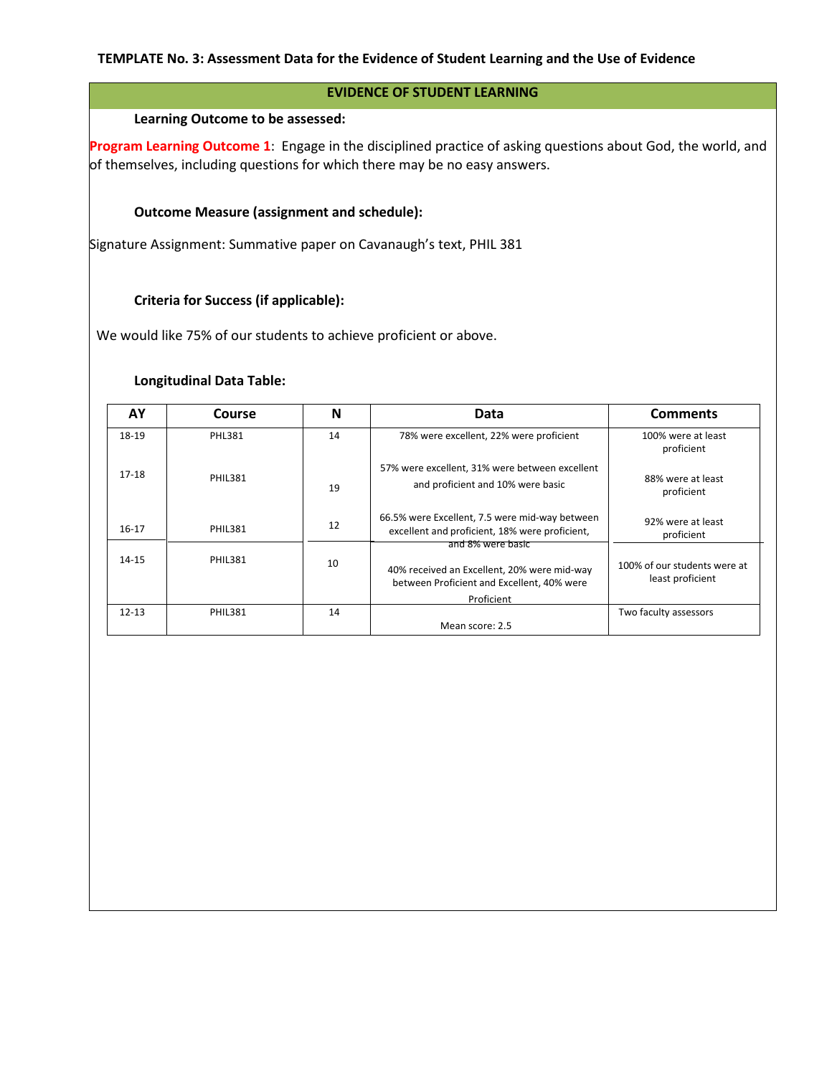### **EVIDENCE OF STUDENT LEARNING**

### **Learning Outcome to be assessed:**

**Program Learning Outcome 1**: Engage in the disciplined practice of asking questions about God, the world, and of themselves, including questions for which there may be no easy answers.

# **Outcome Measure (assignment and schedule):**

Signature Assignment: Summative paper on Cavanaugh's text, PHIL 381

### **Criteria for Success (if applicable):**

We would like 75% of our students to achieve proficient or above.

### **Longitudinal Data Table:**

| AY        | Course         | N  | Data                                                                                                           | <b>Comments</b>                                  |
|-----------|----------------|----|----------------------------------------------------------------------------------------------------------------|--------------------------------------------------|
| 18-19     | <b>PHL381</b>  | 14 | 78% were excellent, 22% were proficient                                                                        | 100% were at least<br>proficient                 |
| 17-18     | <b>PHIL381</b> | 19 | 57% were excellent, 31% were between excellent<br>and proficient and 10% were basic                            | 88% were at least<br>proficient                  |
| $16-17$   | <b>PHIL381</b> | 12 | 66.5% were Excellent, 7.5 were mid-way between<br>excellent and proficient, 18% were proficient,               | 92% were at least<br>proficient                  |
| $14 - 15$ | <b>PHIL381</b> | 10 | and 8% were basic<br>40% received an Excellent, 20% were mid-way<br>between Proficient and Excellent, 40% were | 100% of our students were at<br>least proficient |
|           |                |    | Proficient                                                                                                     |                                                  |
| $12 - 13$ | <b>PHIL381</b> | 14 |                                                                                                                | Two faculty assessors                            |
|           |                |    | Mean score: 2.5                                                                                                |                                                  |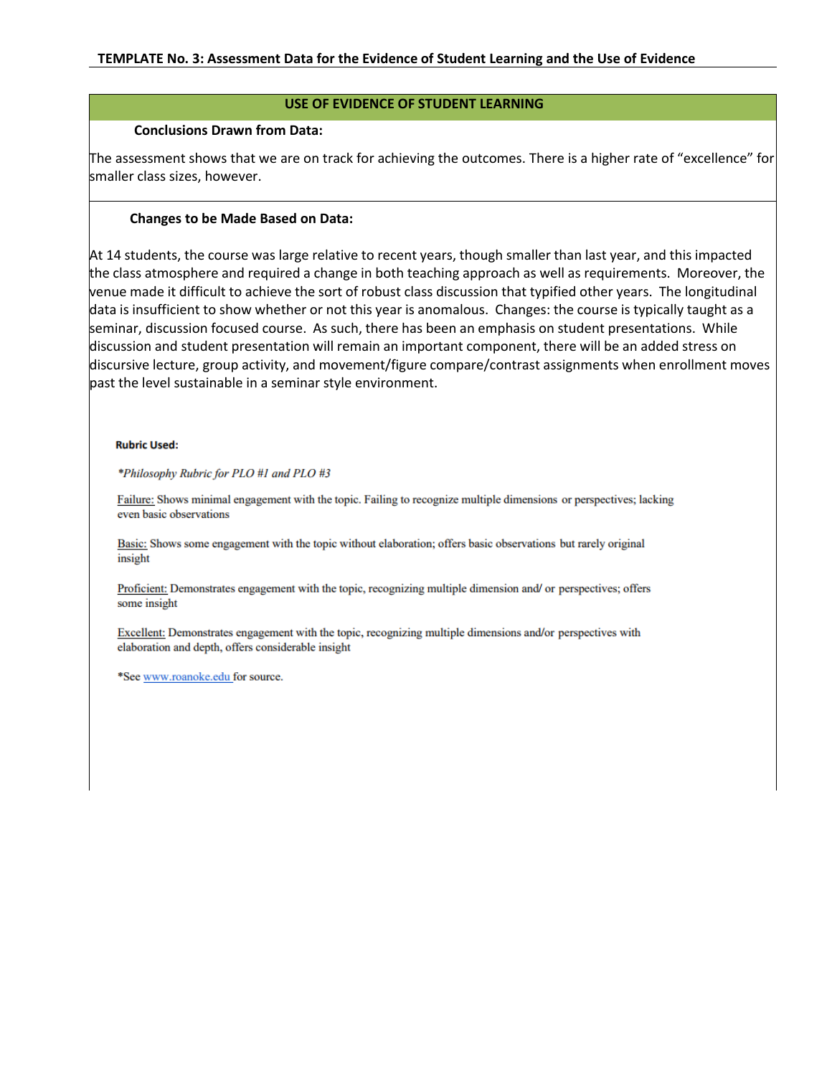# **USE OF EVIDENCE OF STUDENT LEARNING**

### **Conclusions Drawn from Data:**

The assessment shows that we are on track for achieving the outcomes. There is a higher rate of "excellence" for smaller class sizes, however.

# **Changes to be Made Based on Data:**

At 14 students, the course was large relative to recent years, though smaller than last year, and this impacted the class atmosphere and required a change in both teaching approach as well as requirements. Moreover, the venue made it difficult to achieve the sort of robust class discussion that typified other years. The longitudinal data is insufficient to show whether or not this year is anomalous. Changes: the course is typically taught as a seminar, discussion focused course. As such, there has been an emphasis on student presentations. While discussion and student presentation will remain an important component, there will be an added stress on discursive lecture, group activity, and movement/figure compare/contrast assignments when enrollment moves past the level sustainable in a seminar style environment.

#### **Rubric Used:**

\*Philosophy Rubric for PLO #1 and PLO #3

Failure: Shows minimal engagement with the topic. Failing to recognize multiple dimensions or perspectives; lacking even basic observations

Basic: Shows some engagement with the topic without elaboration; offers basic observations but rarely original insight

Proficient: Demonstrates engagement with the topic, recognizing multiple dimension and/ or perspectives; offers some insight

Excellent: Demonstrates engagement with the topic, recognizing multiple dimensions and/or perspectives with elaboration and depth, offers considerable insight

\*See www.roanoke.edu for source.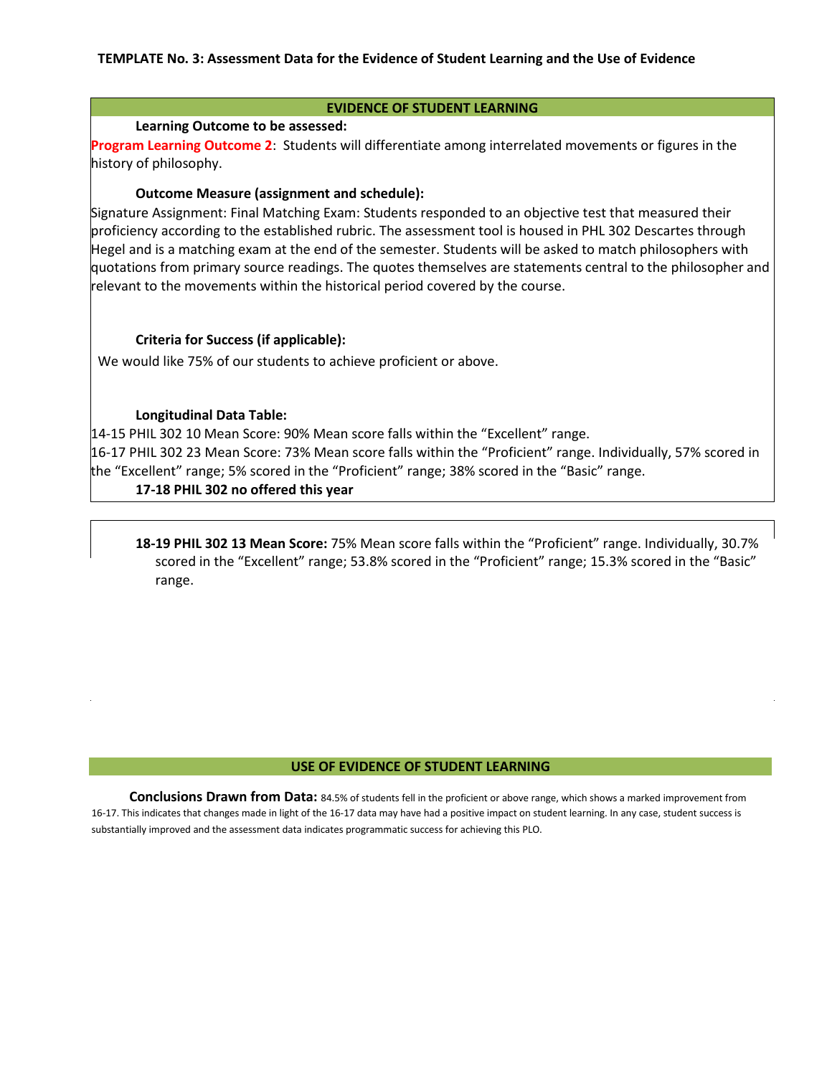#### **EVIDENCE OF STUDENT LEARNING**

### **Learning Outcome to be assessed:**

**Program Learning Outcome 2**: Students will differentiate among interrelated movements or figures in the history of philosophy.

### **Outcome Measure (assignment and schedule):**

Signature Assignment: Final Matching Exam: Students responded to an objective test that measured their proficiency according to the established rubric. The assessment tool is housed in PHL 302 Descartes through Hegel and is a matching exam at the end of the semester. Students will be asked to match philosophers with quotations from primary source readings. The quotes themselves are statements central to the philosopher and relevant to the movements within the historical period covered by the course.

### **Criteria for Success (if applicable):**

We would like 75% of our students to achieve proficient or above.

### **Longitudinal Data Table:**

14-15 PHIL 302 10 Mean Score: 90% Mean score falls within the "Excellent" range.

16-17 PHIL 302 23 Mean Score: 73% Mean score falls within the "Proficient" range. Individually, 57% scored in the "Excellent" range; 5% scored in the "Proficient" range; 38% scored in the "Basic" range.

# **17-18 PHIL 302 no offered this year**

**18-19 PHIL 302 13 Mean Score:** 75% Mean score falls within the "Proficient" range. Individually, 30.7% scored in the "Excellent" range; 53.8% scored in the "Proficient" range; 15.3% scored in the "Basic" range.

#### **USE OF EVIDENCE OF STUDENT LEARNING**

**Conclusions Drawn from Data:** 84.5% of students fell in the proficient or above range, which shows a marked improvement from 16-17. This indicates that changes made in light of the 16-17 data may have had a positive impact on student learning. In any case, student success is substantially improved and the assessment data indicates programmatic success for achieving this PLO.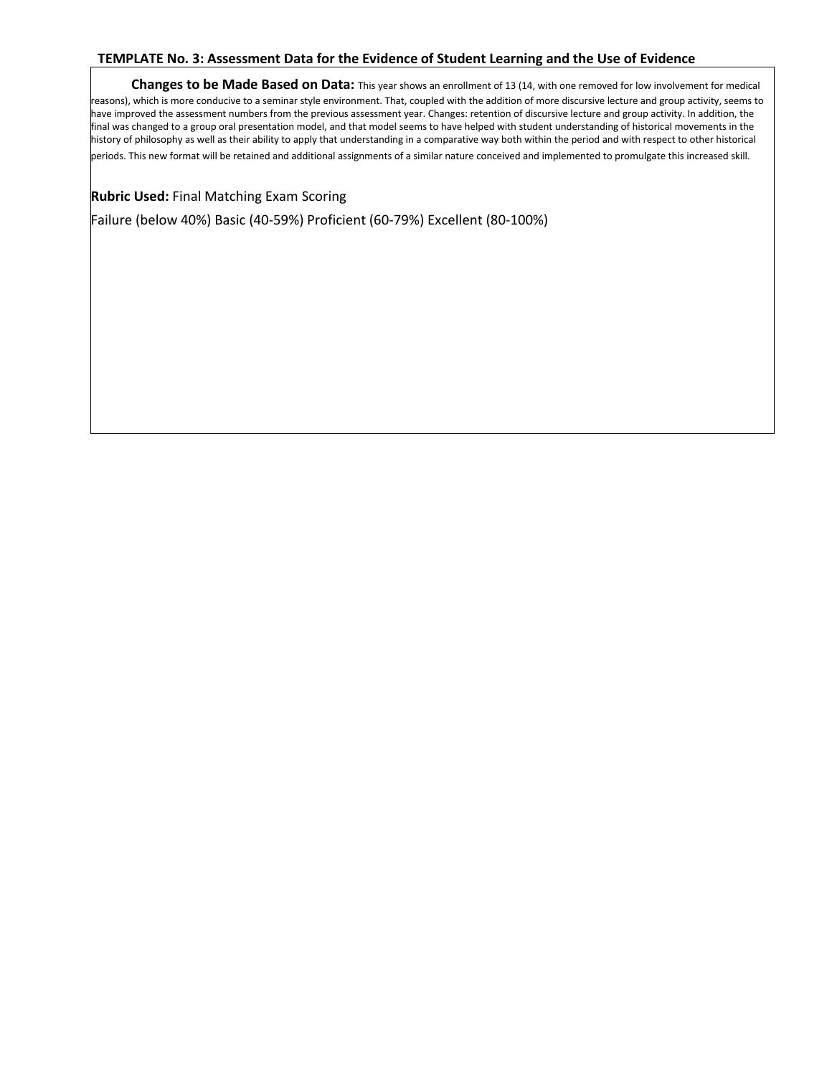**Changes to be Made Based on Data:** This year shows an enrollment of 13 (14, with one removed for low involvement for medical reasons), which is more conducive to a seminar style environment. That, coupled with the addition of more discursive lecture and group activity, seems to have improved the assessment numbers from the previous assessment year. Changes: retention of discursive lecture and group activity. In addition, the final was changed to a group oral presentation model, and that model seems to have helped with student understanding of historical movements in the history of philosophy as well as their ability to apply that understanding in a comparative way both within the period and with respect to other historical periods. This new format will be retained and additional assignments of a similar nature conceived and implemented to promulgate this increased skill.

**Rubric Used:** Final Matching Exam Scoring

Failure (below 40%) Basic (40-59%) Proficient (60-79%) Excellent (80-100%)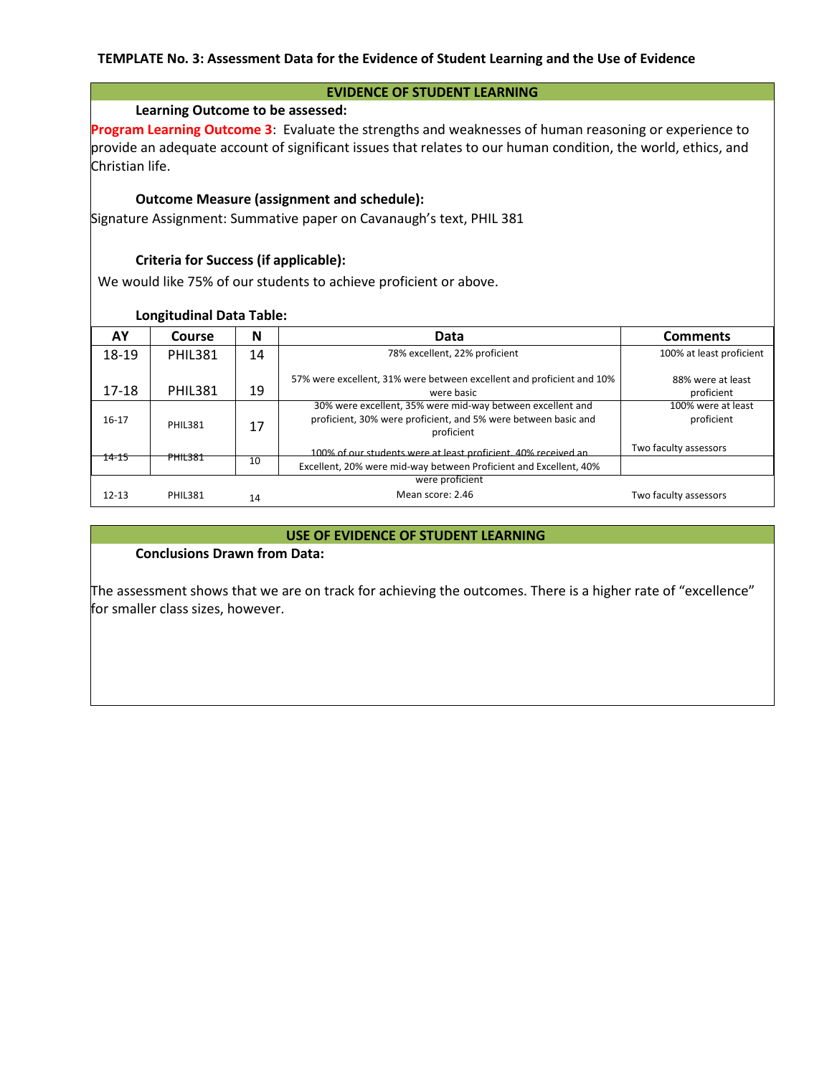#### **EVIDENCE OF STUDENT LEARNING**

### **Learning Outcome to be assessed:**

**Program Learning Outcome 3**: Evaluate the strengths and weaknesses of human reasoning or experience to provide an adequate account of significant issues that relates to our human condition, the world, ethics, and Christian life.

### **Outcome Measure (assignment and schedule):**

Signature Assignment: Summative paper on Cavanaugh's text, PHIL 381

# **Criteria for Success (if applicable):**

We would like 75% of our students to achieve proficient or above.

#### **Longitudinal Data Table:**

| AY        | Course         | N  | Data                                                                                                                                       | <b>Comments</b>                  |
|-----------|----------------|----|--------------------------------------------------------------------------------------------------------------------------------------------|----------------------------------|
| 18-19     | <b>PHIL381</b> | 14 | 78% excellent, 22% proficient                                                                                                              | 100% at least proficient         |
| $17 - 18$ | <b>PHIL381</b> | 19 | 57% were excellent, 31% were between excellent and proficient and 10%<br>were basic                                                        | 88% were at least<br>proficient  |
| $16 - 17$ | <b>PHIL381</b> | 17 | 30% were excellent, 35% were mid-way between excellent and<br>proficient, 30% were proficient, and 5% were between basic and<br>proficient | 100% were at least<br>proficient |
| 14-15     | <b>PHIL381</b> |    | 100% of our students were at least proficient, 40% received an                                                                             | Two faculty assessors            |
|           |                | 10 | Excellent, 20% were mid-way between Proficient and Excellent, 40%                                                                          |                                  |
|           |                |    | were proficient                                                                                                                            |                                  |
| $12 - 13$ | <b>PHIL381</b> | 14 | Mean score: 2.46                                                                                                                           | Two faculty assessors            |

#### **USE OF EVIDENCE OF STUDENT LEARNING**

### **Conclusions Drawn from Data:**

The assessment shows that we are on track for achieving the outcomes. There is a higher rate of "excellence" for smaller class sizes, however.